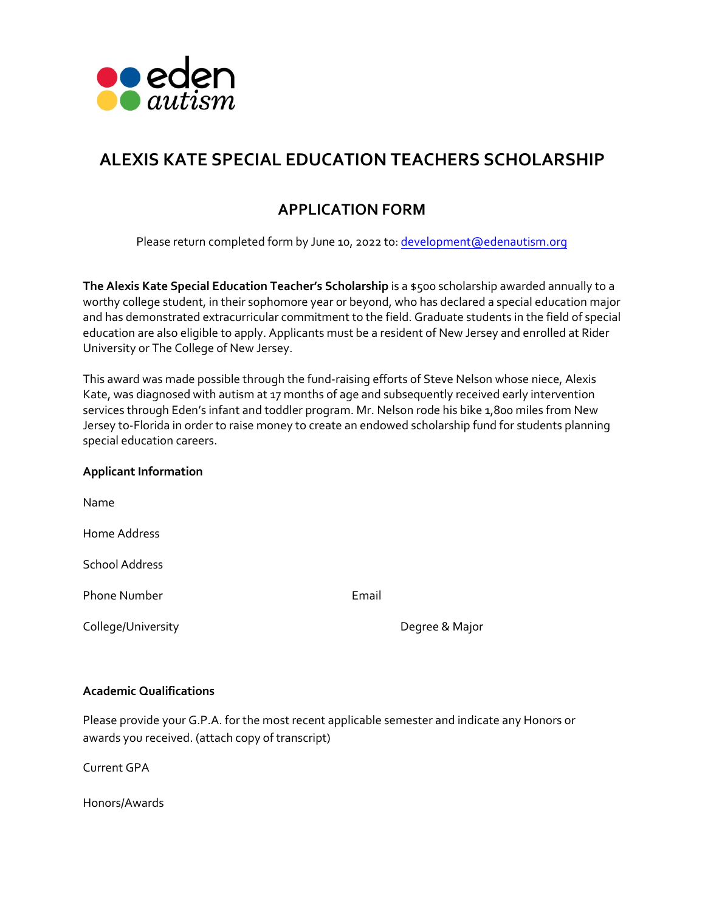

# **ALEXIS KATE SPECIAL EDUCATION TEACHERS SCHOLARSHIP**

# **APPLICATION FORM**

Please return completed form by June 10, 2022 to: [development@edenautism.org](mailto:development@edenautism.org)

**The Alexis Kate Special Education Teacher's Scholarship** is a \$500 scholarship awarded annually to a worthy college student, in their sophomore year or beyond, who has declared a special education major and has demonstrated extracurricular commitment to the field. Graduate students in the field of special education are also eligible to apply. Applicants must be a resident of New Jersey and enrolled at Rider University or The College of New Jersey.

This award was made possible through the fund-raising efforts of Steve Nelson whose niece, Alexis Kate, was diagnosed with autism at 17 months of age and subsequently received early intervention services through Eden's infant and toddler program. Mr. Nelson rode his bike 1,800 miles from New Jersey to-Florida in order to raise money to create an endowed scholarship fund for students planning special education careers.

# **Applicant Information**

| Name                  |       |                |
|-----------------------|-------|----------------|
| Home Address          |       |                |
| <b>School Address</b> |       |                |
| <b>Phone Number</b>   | Email |                |
| College/University    |       | Degree & Major |

# **Academic Qualifications**

Please provide your G.P.A. for the most recent applicable semester and indicate any Honors or awards you received. (attach copy of transcript)

Current GPA

Honors/Awards